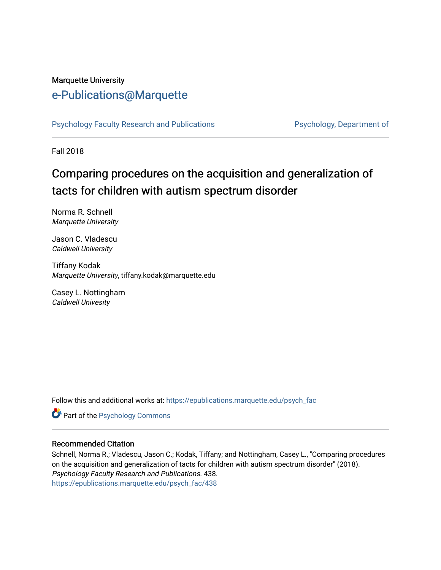#### Marquette University

# [e-Publications@Marquette](https://epublications.marquette.edu/)

[Psychology Faculty Research and Publications](https://epublications.marquette.edu/psych_fac) **Properties Psychology, Department of** 

Fall 2018

# Comparing procedures on the acquisition and generalization of tacts for children with autism spectrum disorder

Norma R. Schnell Marquette University

Jason C. Vladescu Caldwell University

Tiffany Kodak Marquette University, tiffany.kodak@marquette.edu

Casey L. Nottingham Caldwell Univesity

Follow this and additional works at: [https://epublications.marquette.edu/psych\\_fac](https://epublications.marquette.edu/psych_fac?utm_source=epublications.marquette.edu%2Fpsych_fac%2F438&utm_medium=PDF&utm_campaign=PDFCoverPages)

**Part of the Psychology Commons** 

#### Recommended Citation

Schnell, Norma R.; Vladescu, Jason C.; Kodak, Tiffany; and Nottingham, Casey L., "Comparing procedures on the acquisition and generalization of tacts for children with autism spectrum disorder" (2018). Psychology Faculty Research and Publications. 438. [https://epublications.marquette.edu/psych\\_fac/438](https://epublications.marquette.edu/psych_fac/438?utm_source=epublications.marquette.edu%2Fpsych_fac%2F438&utm_medium=PDF&utm_campaign=PDFCoverPages)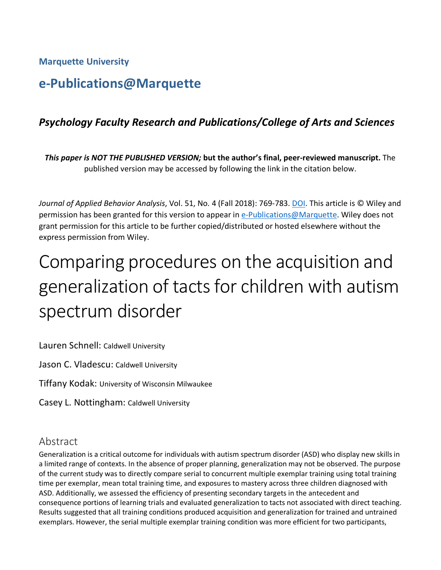**Marquette University**

# **e-Publications@Marquette**

# *Psychology Faculty Research and Publications/College of Arts and Sciences*

*This paper is NOT THE PUBLISHED VERSION;* **but the author's final, peer-reviewed manuscript.** The published version may be accessed by following the link in the citation below.

*Journal of Applied Behavior Analysis*, Vol. 51, No. 4 (Fall 2018): 769-783. [DOI.](https://onlinelibrary.wiley.com/doi/full/10.1002/jaba.480) This article is © Wiley and permission has been granted for this version to appear in [e-Publications@Marquette.](http://epublications.marquette.edu/) Wiley does not grant permission for this article to be further copied/distributed or hosted elsewhere without the express permission from Wiley.

# Comparing procedures on the acquisition and generalization of tacts for children with autism spectrum disorder

Lauren Schnell: Caldwell University

Jason C. Vladescu: Caldwell University

Tiffany Kodak: University of Wisconsin Milwaukee

Casey L. Nottingham: Caldwell University

# Abstract

Generalization is a critical outcome for individuals with autism spectrum disorder (ASD) who display new skills in a limited range of contexts. In the absence of proper planning, generalization may not be observed. The purpose of the current study was to directly compare serial to concurrent multiple exemplar training using total training time per exemplar, mean total training time, and exposures to mastery across three children diagnosed with ASD. Additionally, we assessed the efficiency of presenting secondary targets in the antecedent and consequence portions of learning trials and evaluated generalization to tacts not associated with direct teaching. Results suggested that all training conditions produced acquisition and generalization for trained and untrained exemplars. However, the serial multiple exemplar training condition was more efficient for two participants,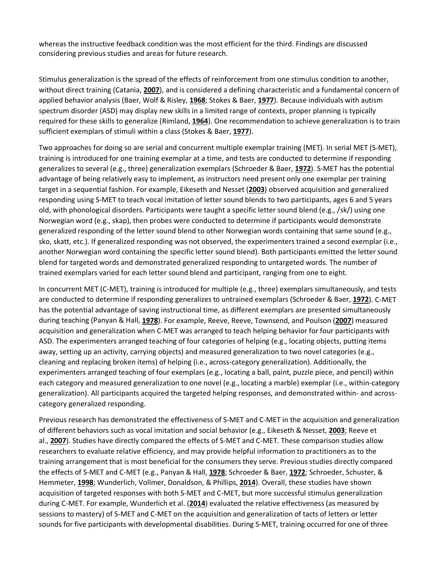whereas the instructive feedback condition was the most efficient for the third. Findings are discussed considering previous studies and areas for future research.

Stimulus generalization is the spread of the effects of reinforcement from one stimulus condition to another, without direct training (Catania, **[2007](https://0-onlinelibrary-wiley-com.libus.csd.mu.edu/doi/10.1002/jaba.480#jaba480-bib-0005)**), and is considered a defining characteristic and a fundamental concern of applied behavior analysis (Baer, Wolf & Risley, **[1968](https://0-onlinelibrary-wiley-com.libus.csd.mu.edu/doi/10.1002/jaba.480#jaba480-bib-0001)**; Stokes & Baer, **[1977](https://0-onlinelibrary-wiley-com.libus.csd.mu.edu/doi/10.1002/jaba.480#jaba480-bib-0027)**). Because individuals with autism spectrum disorder (ASD) may display new skills in a limited range of contexts, proper planning is typically required for these skills to generalize (Rimland, **[1964](https://0-onlinelibrary-wiley-com.libus.csd.mu.edu/doi/10.1002/jaba.480#jaba480-bib-0021)**). One recommendation to achieve generalization is to train sufficient exemplars of stimuli within a class (Stokes & Baer, **[1977](https://0-onlinelibrary-wiley-com.libus.csd.mu.edu/doi/10.1002/jaba.480#jaba480-bib-0027)**).

Two approaches for doing so are serial and concurrent multiple exemplar training (MET). In serial MET (S-MET), training is introduced for one training exemplar at a time, and tests are conducted to determine if responding generalizes to several (e.g., three) generalization exemplars (Schroeder & Baer, **[1972](https://0-onlinelibrary-wiley-com.libus.csd.mu.edu/doi/10.1002/jaba.480#jaba480-bib-0023)**). S-MET has the potential advantage of being relatively easy to implement, as instructors need present only one exemplar per training target in a sequential fashion. For example, Eikeseth and Nesset (**[2003](https://0-onlinelibrary-wiley-com.libus.csd.mu.edu/doi/10.1002/jaba.480#jaba480-bib-0010)**) observed acquisition and generalized responding using S-MET to teach vocal imitation of letter sound blends to two participants, ages 6 and 5 years old, with phonological disorders. Participants were taught a specific letter sound blend (e.g., /sk/) using one Norwegian word (e.g., skap), then probes were conducted to determine if participants would demonstrate generalized responding of the letter sound blend to other Norwegian words containing that same sound (e.g., sko, skatt, etc.). If generalized responding was not observed, the experimenters trained a second exemplar (i.e., another Norwegian word containing the specific letter sound blend). Both participants emitted the letter sound blend for targeted words and demonstrated generalized responding to untargeted words. The number of trained exemplars varied for each letter sound blend and participant, ranging from one to eight.

In concurrent MET (C-MET), training is introduced for multiple (e.g., three) exemplars simultaneously, and tests are conducted to determine if responding generalizes to untrained exemplars (Schroeder & Baer, **[1972](https://0-onlinelibrary-wiley-com.libus.csd.mu.edu/doi/10.1002/jaba.480#jaba480-bib-0023)**). C-MET has the potential advantage of saving instructional time, as different exemplars are presented simultaneously during teaching (Panyan & Hall, **[1978](https://0-onlinelibrary-wiley-com.libus.csd.mu.edu/doi/10.1002/jaba.480#jaba480-bib-0018)**). For example, Reeve, Reeve, Townsend, and Poulson (**[2007](https://0-onlinelibrary-wiley-com.libus.csd.mu.edu/doi/10.1002/jaba.480#jaba480-bib-0019)**) measured acquisition and generalization when C-MET was arranged to teach helping behavior for four participants with ASD. The experimenters arranged teaching of four categories of helping (e.g., locating objects, putting items away, setting up an activity, carrying objects) and measured generalization to two novel categories (e.g., cleaning and replacing broken items) of helping (i.e., across-category generalization). Additionally, the experimenters arranged teaching of four exemplars (e.g., locating a ball, paint, puzzle piece, and pencil) within each category and measured generalization to one novel (e.g., locating a marble) exemplar (i.e., within-category generalization). All participants acquired the targeted helping responses, and demonstrated within- and acrosscategory generalized responding.

Previous research has demonstrated the effectiveness of S-MET and C-MET in the acquisition and generalization of different behaviors such as vocal imitation and social behavior (e.g., Eikeseth & Nesset, **[2003](https://0-onlinelibrary-wiley-com.libus.csd.mu.edu/doi/10.1002/jaba.480#jaba480-bib-0010)**; Reeve et al., **[2007](https://0-onlinelibrary-wiley-com.libus.csd.mu.edu/doi/10.1002/jaba.480#jaba480-bib-0019)**). Studies have directly compared the effects of S-MET and C-MET. These comparison studies allow researchers to evaluate relative efficiency, and may provide helpful information to practitioners as to the training arrangement that is most beneficial for the consumers they serve. Previous studies directly compared the effects of S-MET and C-MET (e.g., Panyan & Hall, **[1978](https://0-onlinelibrary-wiley-com.libus.csd.mu.edu/doi/10.1002/jaba.480#jaba480-bib-0018)**; Schroeder & Baer, **[1972](https://0-onlinelibrary-wiley-com.libus.csd.mu.edu/doi/10.1002/jaba.480#jaba480-bib-0023)**; Schroeder, Schuster, & Hemmeter, **[1998](https://0-onlinelibrary-wiley-com.libus.csd.mu.edu/doi/10.1002/jaba.480#jaba480-bib-0022)**; Wunderlich, Vollmer, Donaldson, & Phillips, **[2014](https://0-onlinelibrary-wiley-com.libus.csd.mu.edu/doi/10.1002/jaba.480#jaba480-bib-0033)**). Overall, these studies have shown acquisition of targeted responses with both S-MET and C-MET, but more successful stimulus generalization during C-MET. For example, Wunderlich et al. (**[2014](https://0-onlinelibrary-wiley-com.libus.csd.mu.edu/doi/10.1002/jaba.480#jaba480-bib-0033)**) evaluated the relative effectiveness (as measured by sessions to mastery) of S-MET and C-MET on the acquisition and generalization of tacts of letters or letter sounds for five participants with developmental disabilities. During S-MET, training occurred for one of three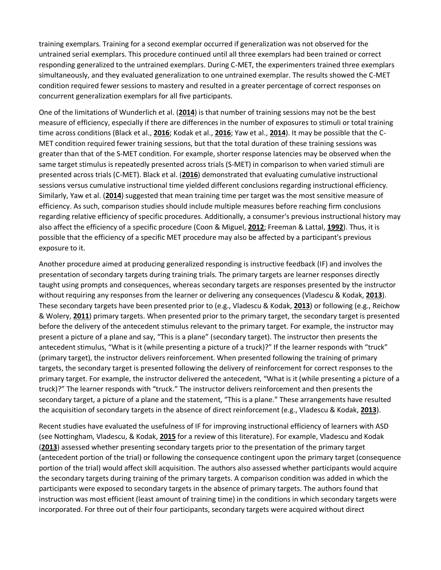training exemplars. Training for a second exemplar occurred if generalization was not observed for the untrained serial exemplars. This procedure continued until all three exemplars had been trained or correct responding generalized to the untrained exemplars. During C-MET, the experimenters trained three exemplars simultaneously, and they evaluated generalization to one untrained exemplar. The results showed the C-MET condition required fewer sessions to mastery and resulted in a greater percentage of correct responses on concurrent generalization exemplars for all five participants.

One of the limitations of Wunderlich et al. (**[2014](https://0-onlinelibrary-wiley-com.libus.csd.mu.edu/doi/10.1002/jaba.480#jaba480-bib-0033)**) is that number of training sessions may not be the best measure of efficiency, especially if there are differences in the number of exposures to stimuli or total training time across conditions (Black et al., **[2016](https://0-onlinelibrary-wiley-com.libus.csd.mu.edu/doi/10.1002/jaba.480#jaba480-bib-0002)**; Kodak et al., **[2016](https://0-onlinelibrary-wiley-com.libus.csd.mu.edu/doi/10.1002/jaba.480#jaba480-bib-0012)**; Yaw et al., **[2014](https://0-onlinelibrary-wiley-com.libus.csd.mu.edu/doi/10.1002/jaba.480#jaba480-bib-0034)**). It may be possible that the C-MET condition required fewer training sessions, but that the total duration of these training sessions was greater than that of the S-MET condition. For example, shorter response latencies may be observed when the same target stimulus is repeatedly presented across trials (S-MET) in comparison to when varied stimuli are presented across trials (C-MET). Black et al. (**[2016](https://0-onlinelibrary-wiley-com.libus.csd.mu.edu/doi/10.1002/jaba.480#jaba480-bib-0002)**) demonstrated that evaluating cumulative instructional sessions versus cumulative instructional time yielded different conclusions regarding instructional efficiency. Similarly, Yaw et al. (**[2014](https://0-onlinelibrary-wiley-com.libus.csd.mu.edu/doi/10.1002/jaba.480#jaba480-bib-0034)**) suggested that mean training time per target was the most sensitive measure of efficiency. As such, comparison studies should include multiple measures before reaching firm conclusions regarding relative efficiency of specific procedures. Additionally, a consumer's previous instructional history may also affect the efficiency of a specific procedure (Coon & Miguel, **[2012](https://0-onlinelibrary-wiley-com.libus.csd.mu.edu/doi/10.1002/jaba.480#jaba480-bib-0006)**; Freeman & Lattal, **[1992](https://0-onlinelibrary-wiley-com.libus.csd.mu.edu/doi/10.1002/jaba.480#jaba480-bib-0011)**). Thus, it is possible that the efficiency of a specific MET procedure may also be affected by a participant's previous exposure to it.

Another procedure aimed at producing generalized responding is instructive feedback (IF) and involves the presentation of secondary targets during training trials. The primary targets are learner responses directly taught using prompts and consequences, whereas secondary targets are responses presented by the instructor without requiring any responses from the learner or delivering any consequences (Vladescu & Kodak, **[2013](https://0-onlinelibrary-wiley-com.libus.csd.mu.edu/doi/10.1002/jaba.480#jaba480-bib-0029)**). These secondary targets have been presented prior to (e.g., Vladescu & Kodak, **[2013](https://0-onlinelibrary-wiley-com.libus.csd.mu.edu/doi/10.1002/jaba.480#jaba480-bib-0029)**) or following (e.g., Reichow & Wolery, **[2011](https://0-onlinelibrary-wiley-com.libus.csd.mu.edu/doi/10.1002/jaba.480#jaba480-bib-0020)**) primary targets. When presented prior to the primary target, the secondary target is presented before the delivery of the antecedent stimulus relevant to the primary target. For example, the instructor may present a picture of a plane and say, "This is a plane" (secondary target). The instructor then presents the antecedent stimulus, "What is it (while presenting a picture of a truck)?" If the learner responds with "truck" (primary target), the instructor delivers reinforcement. When presented following the training of primary targets, the secondary target is presented following the delivery of reinforcement for correct responses to the primary target. For example, the instructor delivered the antecedent, "What is it (while presenting a picture of a truck)?" The learner responds with "truck." The instructor delivers reinforcement and then presents the secondary target, a picture of a plane and the statement, "This is a plane." These arrangements have resulted the acquisition of secondary targets in the absence of direct reinforcement (e.g., Vladescu & Kodak, **[2013](https://0-onlinelibrary-wiley-com.libus.csd.mu.edu/doi/10.1002/jaba.480#jaba480-bib-0029)**).

Recent studies have evaluated the usefulness of IF for improving instructional efficiency of learners with ASD (see Nottingham, Vladescu, & Kodak, **[2015](https://0-onlinelibrary-wiley-com.libus.csd.mu.edu/doi/10.1002/jaba.480#jaba480-bib-0016)** for a review of this literature). For example, Vladescu and Kodak (**[2013](https://0-onlinelibrary-wiley-com.libus.csd.mu.edu/doi/10.1002/jaba.480#jaba480-bib-0029)**) assessed whether presenting secondary targets prior to the presentation of the primary target (antecedent portion of the trial) or following the consequence contingent upon the primary target (consequence portion of the trial) would affect skill acquisition. The authors also assessed whether participants would acquire the secondary targets during training of the primary targets. A comparison condition was added in which the participants were exposed to secondary targets in the absence of primary targets. The authors found that instruction was most efficient (least amount of training time) in the conditions in which secondary targets were incorporated. For three out of their four participants, secondary targets were acquired without direct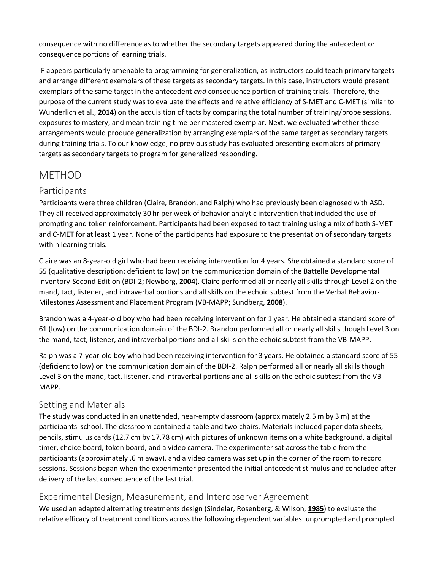consequence with no difference as to whether the secondary targets appeared during the antecedent or consequence portions of learning trials.

IF appears particularly amenable to programming for generalization, as instructors could teach primary targets and arrange different exemplars of these targets as secondary targets. In this case, instructors would present exemplars of the same target in the antecedent *and* consequence portion of training trials. Therefore, the purpose of the current study was to evaluate the effects and relative efficiency of S-MET and C-MET (similar to Wunderlich et al., **[2014](https://0-onlinelibrary-wiley-com.libus.csd.mu.edu/doi/10.1002/jaba.480#jaba480-bib-0033)**) on the acquisition of tacts by comparing the total number of training/probe sessions, exposures to mastery, and mean training time per mastered exemplar. Next, we evaluated whether these arrangements would produce generalization by arranging exemplars of the same target as secondary targets during training trials. To our knowledge, no previous study has evaluated presenting exemplars of primary targets as secondary targets to program for generalized responding.

# METHOD

#### Participants

Participants were three children (Claire, Brandon, and Ralph) who had previously been diagnosed with ASD. They all received approximately 30 hr per week of behavior analytic intervention that included the use of prompting and token reinforcement. Participants had been exposed to tact training using a mix of both S-MET and C-MET for at least 1 year. None of the participants had exposure to the presentation of secondary targets within learning trials.

Claire was an 8‐year‐old girl who had been receiving intervention for 4 years. She obtained a standard score of 55 (qualitative description: deficient to low) on the communication domain of the Battelle Developmental Inventory-Second Edition (BDI-2; Newborg, **[2004](https://0-onlinelibrary-wiley-com.libus.csd.mu.edu/doi/10.1002/jaba.480#jaba480-bib-0015)**). Claire performed all or nearly all skills through Level 2 on the mand, tact, listener, and intraverbal portions and all skills on the echoic subtest from the Verbal Behavior-Milestones Assessment and Placement Program (VB-MAPP; Sundberg, **[2008](https://0-onlinelibrary-wiley-com.libus.csd.mu.edu/doi/10.1002/jaba.480#jaba480-bib-0028)**).

Brandon was a 4‐year‐old boy who had been receiving intervention for 1 year. He obtained a standard score of 61 (low) on the communication domain of the BDI-2. Brandon performed all or nearly all skills though Level 3 on the mand, tact, listener, and intraverbal portions and all skills on the echoic subtest from the VB-MAPP.

Ralph was a 7‐year‐old boy who had been receiving intervention for 3 years. He obtained a standard score of 55 (deficient to low) on the communication domain of the BDI-2. Ralph performed all or nearly all skills though Level 3 on the mand, tact, listener, and intraverbal portions and all skills on the echoic subtest from the VB-MAPP.

#### Setting and Materials

The study was conducted in an unattended, near‐empty classroom (approximately 2.5 m by 3 m) at the participants' school. The classroom contained a table and two chairs. Materials included paper data sheets, pencils, stimulus cards (12.7 cm by 17.78 cm) with pictures of unknown items on a white background, a digital timer, choice board, token board, and a video camera. The experimenter sat across the table from the participants (approximately .6 m away), and a video camera was set up in the corner of the room to record sessions. Sessions began when the experimenter presented the initial antecedent stimulus and concluded after delivery of the last consequence of the last trial.

#### Experimental Design, Measurement, and Interobserver Agreement

We used an adapted alternating treatments design (Sindelar, Rosenberg, & Wilson, **[1985](https://0-onlinelibrary-wiley-com.libus.csd.mu.edu/doi/10.1002/jaba.480#jaba480-bib-0025)**) to evaluate the relative efficacy of treatment conditions across the following dependent variables: unprompted and prompted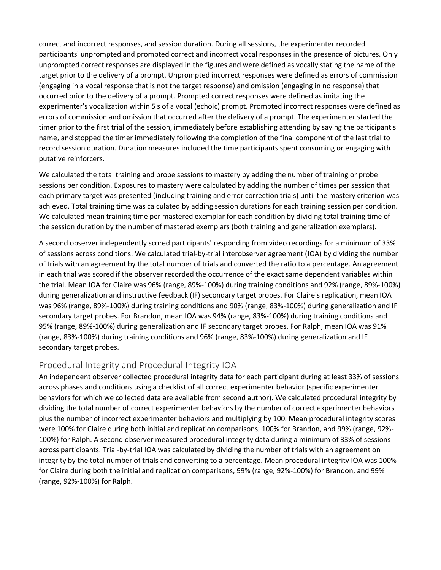correct and incorrect responses, and session duration. During all sessions, the experimenter recorded participants' unprompted and prompted correct and incorrect vocal responses in the presence of pictures. Only unprompted correct responses are displayed in the figures and were defined as vocally stating the name of the target prior to the delivery of a prompt. Unprompted incorrect responses were defined as errors of commission (engaging in a vocal response that is not the target response) and omission (engaging in no response) that occurred prior to the delivery of a prompt. Prompted correct responses were defined as imitating the experimenter's vocalization within 5 s of a vocal (echoic) prompt. Prompted incorrect responses were defined as errors of commission and omission that occurred after the delivery of a prompt. The experimenter started the timer prior to the first trial of the session, immediately before establishing attending by saying the participant's name, and stopped the timer immediately following the completion of the final component of the last trial to record session duration. Duration measures included the time participants spent consuming or engaging with putative reinforcers.

We calculated the total training and probe sessions to mastery by adding the number of training or probe sessions per condition. Exposures to mastery were calculated by adding the number of times per session that each primary target was presented (including training and error correction trials) until the mastery criterion was achieved. Total training time was calculated by adding session durations for each training session per condition. We calculated mean training time per mastered exemplar for each condition by dividing total training time of the session duration by the number of mastered exemplars (both training and generalization exemplars).

A second observer independently scored participants' responding from video recordings for a minimum of 33% of sessions across conditions. We calculated trial-by-trial interobserver agreement (IOA) by dividing the number of trials with an agreement by the total number of trials and converted the ratio to a percentage. An agreement in each trial was scored if the observer recorded the occurrence of the exact same dependent variables within the trial. Mean IOA for Claire was 96% (range, 89%-100%) during training conditions and 92% (range, 89%-100%) during generalization and instructive feedback (IF) secondary target probes. For Claire's replication, mean IOA was 96% (range, 89%-100%) during training conditions and 90% (range, 83%-100%) during generalization and IF secondary target probes. For Brandon, mean IOA was 94% (range, 83%-100%) during training conditions and 95% (range, 89%-100%) during generalization and IF secondary target probes. For Ralph, mean IOA was 91% (range, 83%-100%) during training conditions and 96% (range, 83%-100%) during generalization and IF secondary target probes.

#### Procedural Integrity and Procedural Integrity IOA

An independent observer collected procedural integrity data for each participant during at least 33% of sessions across phases and conditions using a checklist of all correct experimenter behavior (specific experimenter behaviors for which we collected data are available from second author). We calculated procedural integrity by dividing the total number of correct experimenter behaviors by the number of correct experimenter behaviors plus the number of incorrect experimenter behaviors and multiplying by 100. Mean procedural integrity scores were 100% for Claire during both initial and replication comparisons, 100% for Brandon, and 99% (range, 92%- 100%) for Ralph. A second observer measured procedural integrity data during a minimum of 33% of sessions across participants. Trial-by-trial IOA was calculated by dividing the number of trials with an agreement on integrity by the total number of trials and converting to a percentage. Mean procedural integrity IOA was 100% for Claire during both the initial and replication comparisons, 99% (range, 92%-100%) for Brandon, and 99% (range, 92%-100%) for Ralph.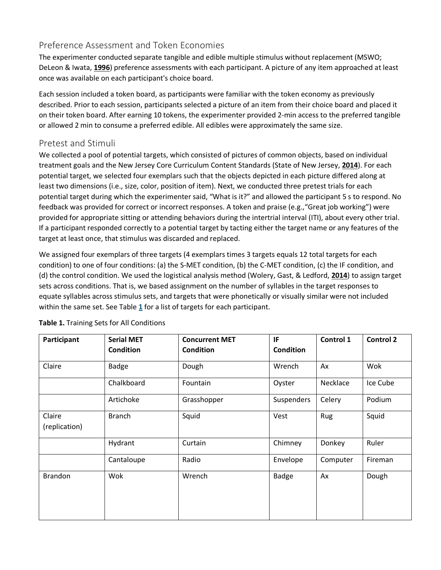#### Preference Assessment and Token Economies

The experimenter conducted separate tangible and edible multiple stimulus without replacement (MSWO; DeLeon & Iwata, **[1996](https://0-onlinelibrary-wiley-com.libus.csd.mu.edu/doi/10.1002/jaba.480#jaba480-bib-0009)**) preference assessments with each participant. A picture of any item approached at least once was available on each participant's choice board.

Each session included a token board, as participants were familiar with the token economy as previously described. Prior to each session, participants selected a picture of an item from their choice board and placed it on their token board. After earning 10 tokens, the experimenter provided 2-min access to the preferred tangible or allowed 2 min to consume a preferred edible. All edibles were approximately the same size.

#### Pretest and Stimuli

We collected a pool of potential targets, which consisted of pictures of common objects, based on individual treatment goals and the New Jersey Core Curriculum Content Standards (State of New Jersey, **[2014](https://0-onlinelibrary-wiley-com.libus.csd.mu.edu/doi/10.1002/jaba.480#jaba480-bib-0026)**). For each potential target, we selected four exemplars such that the objects depicted in each picture differed along at least two dimensions (i.e., size, color, position of item). Next, we conducted three pretest trials for each potential target during which the experimenter said, "What is it?" and allowed the participant 5 s to respond. No feedback was provided for correct or incorrect responses. A token and praise (e.g.,"Great job working") were provided for appropriate sitting or attending behaviors during the intertrial interval (ITI), about every other trial. If a participant responded correctly to a potential target by tacting either the target name or any features of the target at least once, that stimulus was discarded and replaced.

We assigned four exemplars of three targets (4 exemplars times 3 targets equals 12 total targets for each condition) to one of four conditions: (a) the S-MET condition, (b) the C-MET condition, (c) the IF condition, and (d) the control condition. We used the logistical analysis method (Wolery, Gast, & Ledford, **[2014](https://0-onlinelibrary-wiley-com.libus.csd.mu.edu/doi/10.1002/jaba.480#jaba480-bib-0031)**) to assign target sets across conditions. That is, we based assignment on the number of syllables in the target responses to equate syllables across stimulus sets, and targets that were phonetically or visually similar were not included within the same set. See Table **[1](https://0-onlinelibrary-wiley-com.libus.csd.mu.edu/doi/10.1002/jaba.480#jaba480-tbl-0001)** for a list of targets for each participant.

| Participant             | <b>Serial MET</b> | <b>Concurrent MET</b> | IF               | Control 1 | <b>Control 2</b> |
|-------------------------|-------------------|-----------------------|------------------|-----------|------------------|
|                         | <b>Condition</b>  | <b>Condition</b>      | <b>Condition</b> |           |                  |
| Claire                  | Badge             | Dough                 | Wrench           | Ax        | Wok              |
|                         | Chalkboard        | Fountain              | Oyster           | Necklace  | Ice Cube         |
|                         | Artichoke         | Grasshopper           | Suspenders       | Celery    | Podium           |
| Claire<br>(replication) | <b>Branch</b>     | Squid                 | Vest             | Rug       | Squid            |
|                         | Hydrant           | Curtain               | Chimney          | Donkey    | Ruler            |
|                         | Cantaloupe        | Radio                 | Envelope         | Computer  | Fireman          |
| <b>Brandon</b>          | Wok               | Wrench                | <b>Badge</b>     | Ax        | Dough            |

**Table 1.** Training Sets for All Conditions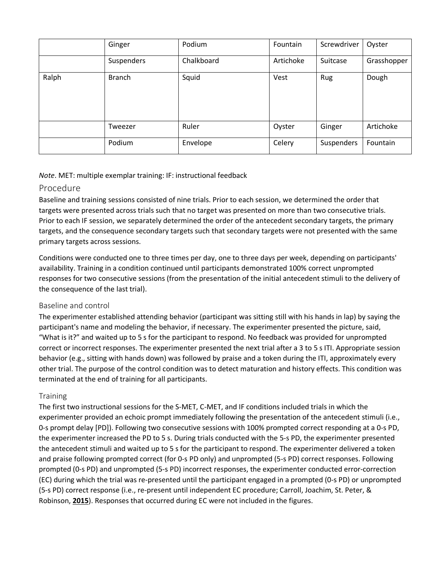|       | Ginger        | Podium     | Fountain  | Screwdriver | Oyster      |
|-------|---------------|------------|-----------|-------------|-------------|
|       | Suspenders    | Chalkboard | Artichoke | Suitcase    | Grasshopper |
| Ralph | <b>Branch</b> | Squid      | Vest      | Rug         | Dough       |
|       | Tweezer       | Ruler      | Oyster    | Ginger      | Artichoke   |
|       | Podium        | Envelope   | Celery    | Suspenders  | Fountain    |

*Note*. MET: multiple exemplar training: IF: instructional feedback

#### Procedure

Baseline and training sessions consisted of nine trials. Prior to each session, we determined the order that targets were presented across trials such that no target was presented on more than two consecutive trials. Prior to each IF session, we separately determined the order of the antecedent secondary targets, the primary targets, and the consequence secondary targets such that secondary targets were not presented with the same primary targets across sessions.

Conditions were conducted one to three times per day, one to three days per week, depending on participants' availability. Training in a condition continued until participants demonstrated 100% correct unprompted responses for two consecutive sessions (from the presentation of the initial antecedent stimuli to the delivery of the consequence of the last trial).

#### Baseline and control

The experimenter established attending behavior (participant was sitting still with his hands in lap) by saying the participant's name and modeling the behavior, if necessary. The experimenter presented the picture, said, "What is it?" and waited up to 5 s for the participant to respond. No feedback was provided for unprompted correct or incorrect responses. The experimenter presented the next trial after a 3 to 5 s ITI. Appropriate session behavior (e.g., sitting with hands down) was followed by praise and a token during the ITI, approximately every other trial. The purpose of the control condition was to detect maturation and history effects. This condition was terminated at the end of training for all participants.

#### **Training**

The first two instructional sessions for the S-MET, C-MET, and IF conditions included trials in which the experimenter provided an echoic prompt immediately following the presentation of the antecedent stimuli (i.e., 0-s prompt delay [PD]). Following two consecutive sessions with 100% prompted correct responding at a 0-s PD, the experimenter increased the PD to 5 s. During trials conducted with the 5‐s PD, the experimenter presented the antecedent stimuli and waited up to 5 s for the participant to respond. The experimenter delivered a token and praise following prompted correct (for 0-s PD only) and unprompted (5-s PD) correct responses. Following prompted (0-s PD) and unprompted (5-s PD) incorrect responses, the experimenter conducted error-correction (EC) during which the trial was re-presented until the participant engaged in a prompted (0-s PD) or unprompted (5-s PD) correct response (i.e., re-present until independent EC procedure; Carroll, Joachim, St. Peter, & Robinson, **[2015](https://0-onlinelibrary-wiley-com.libus.csd.mu.edu/doi/10.1002/jaba.480#jaba480-bib-0004)**). Responses that occurred during EC were not included in the figures.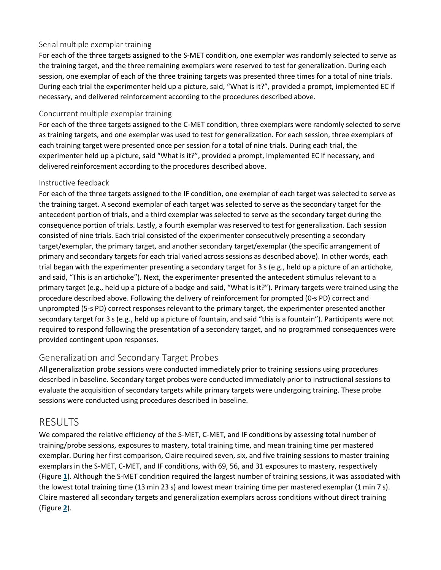#### Serial multiple exemplar training

For each of the three targets assigned to the S-MET condition, one exemplar was randomly selected to serve as the training target, and the three remaining exemplars were reserved to test for generalization. During each session, one exemplar of each of the three training targets was presented three times for a total of nine trials. During each trial the experimenter held up a picture, said, "What is it?", provided a prompt, implemented EC if necessary, and delivered reinforcement according to the procedures described above.

#### Concurrent multiple exemplar training

For each of the three targets assigned to the C-MET condition, three exemplars were randomly selected to serve as training targets, and one exemplar was used to test for generalization. For each session, three exemplars of each training target were presented once per session for a total of nine trials. During each trial, the experimenter held up a picture, said "What is it?", provided a prompt, implemented EC if necessary, and delivered reinforcement according to the procedures described above.

#### Instructive feedback

For each of the three targets assigned to the IF condition, one exemplar of each target was selected to serve as the training target. A second exemplar of each target was selected to serve as the secondary target for the antecedent portion of trials, and a third exemplar was selected to serve as the secondary target during the consequence portion of trials. Lastly, a fourth exemplar was reserved to test for generalization. Each session consisted of nine trials. Each trial consisted of the experimenter consecutively presenting a secondary target/exemplar, the primary target, and another secondary target/exemplar (the specific arrangement of primary and secondary targets for each trial varied across sessions as described above). In other words, each trial began with the experimenter presenting a secondary target for 3 s (e.g., held up a picture of an artichoke, and said, "This is an artichoke"). Next, the experimenter presented the antecedent stimulus relevant to a primary target (e.g., held up a picture of a badge and said, "What is it?"). Primary targets were trained using the procedure described above. Following the delivery of reinforcement for prompted (0-s PD) correct and unprompted (5-s PD) correct responses relevant to the primary target, the experimenter presented another secondary target for 3 s (e.g., held up a picture of fountain, and said "this is a fountain"). Participants were not required to respond following the presentation of a secondary target, and no programmed consequences were provided contingent upon responses.

#### Generalization and Secondary Target Probes

All generalization probe sessions were conducted immediately prior to training sessions using procedures described in baseline. Secondary target probes were conducted immediately prior to instructional sessions to evaluate the acquisition of secondary targets while primary targets were undergoing training. These probe sessions were conducted using procedures described in baseline.

## **RESULTS**

We compared the relative efficiency of the S-MET, C-MET, and IF conditions by assessing total number of training/probe sessions, exposures to mastery, total training time, and mean training time per mastered exemplar. During her first comparison, Claire required seven, six, and five training sessions to master training exemplars in the S-MET, C-MET, and IF conditions, with 69, 56, and 31 exposures to mastery, respectively (Figure **[1](https://0-onlinelibrary-wiley-com.libus.csd.mu.edu/doi/10.1002/jaba.480#jaba480-fig-0001)**). Although the S-MET condition required the largest number of training sessions, it was associated with the lowest total training time (13 min 23 s) and lowest mean training time per mastered exemplar (1 min 7 s). Claire mastered all secondary targets and generalization exemplars across conditions without direct training (Figure **[2](https://0-onlinelibrary-wiley-com.libus.csd.mu.edu/doi/10.1002/jaba.480#jaba480-fig-0002)**).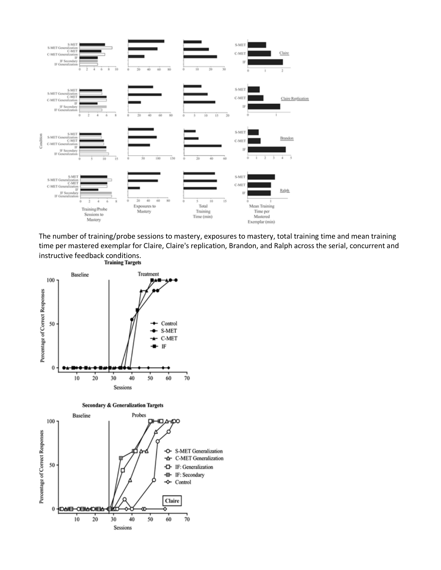

The number of training/probe sessions to mastery, exposures to mastery, total training time and mean training time per mastered exemplar for Claire, Claire's replication, Brandon, and Ralph across the serial, concurrent and [instructive feedback conditions.](https://wol-prod-cdn.literatumonline.com/cms/attachment/473e30b8-cace-49de-95f1-985fc9f54f10/jaba480-fig-0002-m.jpg)<br>Training Targets

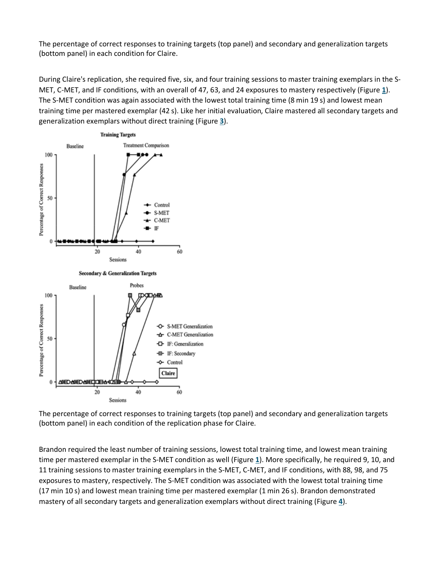The percentage of correct responses to training targets (top panel) and secondary and generalization targets (bottom panel) in each condition for Claire.

During Claire's replication, she required five, six, and four training sessions to master training exemplars in the S-MET, C-MET, and IF conditions, with an overall of 47, 63, and 24 exposures to mastery respectively (Figure **[1](https://0-onlinelibrary-wiley-com.libus.csd.mu.edu/doi/10.1002/jaba.480#jaba480-fig-0001)**). The S-MET condition was again associated with the lowest total training time (8 min 19 s) and lowest mean training time per mastered exemplar (42 s). Like her initial evaluation, Claire mastered all secondary targets and generalization exemplars without direct training (Figure **[3](https://0-onlinelibrary-wiley-com.libus.csd.mu.edu/doi/10.1002/jaba.480#jaba480-fig-0003)**).



The percentage of correct responses to training targets (top panel) and secondary and generalization targets (bottom panel) in each condition of the replication phase for Claire.

Brandon required the least number of training sessions, lowest total training time, and lowest mean training time per mastered exemplar in the S-MET condition as well (Figure **[1](https://0-onlinelibrary-wiley-com.libus.csd.mu.edu/doi/10.1002/jaba.480#jaba480-fig-0001)**). More specifically, he required 9, 10, and 11 training sessions to master training exemplars in the S-MET, C-MET, and IF conditions, with 88, 98, and 75 exposures to mastery, respectively. The S-MET condition was associated with the lowest total training time (17 min 10 s) and lowest mean training time per mastered exemplar (1 min 26 s). Brandon demonstrated mastery of all secondary targets and generalization exemplars without direct training (Figure **[4](https://0-onlinelibrary-wiley-com.libus.csd.mu.edu/doi/10.1002/jaba.480#jaba480-fig-0004)**).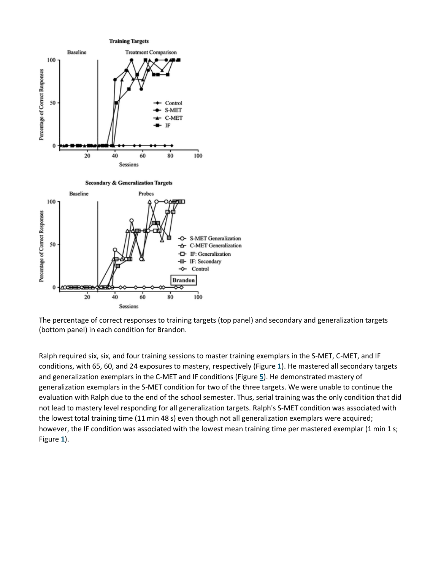

The percentage of correct responses to training targets (top panel) and secondary and generalization targets (bottom panel) in each condition for Brandon.

Ralph required six, six, and four training sessions to master training exemplars in the S-MET, C-MET, and IF conditions, with 65, 60, and 24 exposures to mastery, respectively (Figure **[1](https://0-onlinelibrary-wiley-com.libus.csd.mu.edu/doi/10.1002/jaba.480#jaba480-fig-0001)**). He mastered all secondary targets and generalization exemplars in the C-MET and IF conditions (Figure **[5](https://0-onlinelibrary-wiley-com.libus.csd.mu.edu/doi/10.1002/jaba.480#jaba480-fig-0005)**). He demonstrated mastery of generalization exemplars in the S-MET condition for two of the three targets. We were unable to continue the evaluation with Ralph due to the end of the school semester. Thus, serial training was the only condition that did not lead to mastery level responding for all generalization targets. Ralph's S-MET condition was associated with the lowest total training time (11 min 48 s) even though not all generalization exemplars were acquired; however, the IF condition was associated with the lowest mean training time per mastered exemplar (1 min 1 s; Figure  $1$ ).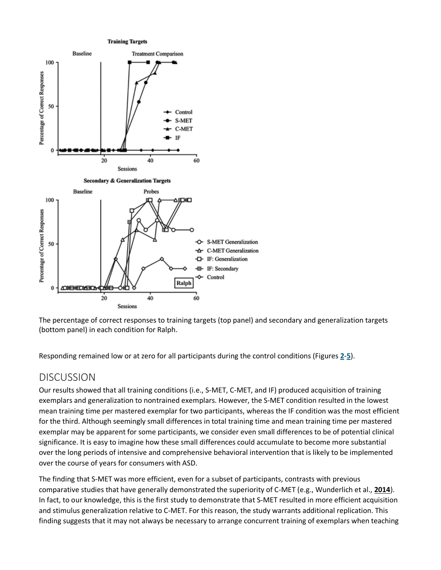

The percentage of correct responses to training targets (top panel) and secondary and generalization targets (bottom panel) in each condition for Ralph.

Responding remained low or at zero for all participants during the control conditions (Figures **[2](https://0-onlinelibrary-wiley-com.libus.csd.mu.edu/doi/10.1002/jaba.480#jaba480-fig-0002)**-**[5](https://0-onlinelibrary-wiley-com.libus.csd.mu.edu/doi/10.1002/jaba.480#jaba480-fig-0005)**).

# **DISCUSSION**

Our results showed that all training conditions (i.e., S-MET, C-MET, and IF) produced acquisition of training exemplars and generalization to nontrained exemplars. However, the S-MET condition resulted in the lowest mean training time per mastered exemplar for two participants, whereas the IF condition was the most efficient for the third. Although seemingly small differences in total training time and mean training time per mastered exemplar may be apparent for some participants, we consider even small differences to be of potential clinical significance. It is easy to imagine how these small differences could accumulate to become more substantial over the long periods of intensive and comprehensive behavioral intervention that is likely to be implemented over the course of years for consumers with ASD.

The finding that S-MET was more efficient, even for a subset of participants, contrasts with previous comparative studies that have generally demonstrated the superiority of C-MET (e.g., Wunderlich et al., **[2014](https://0-onlinelibrary-wiley-com.libus.csd.mu.edu/doi/10.1002/jaba.480#jaba480-bib-0033)**). In fact, to our knowledge, this is the first study to demonstrate that S-MET resulted in more efficient acquisition and stimulus generalization relative to C-MET. For this reason, the study warrants additional replication. This finding suggests that it may not always be necessary to arrange concurrent training of exemplars when teaching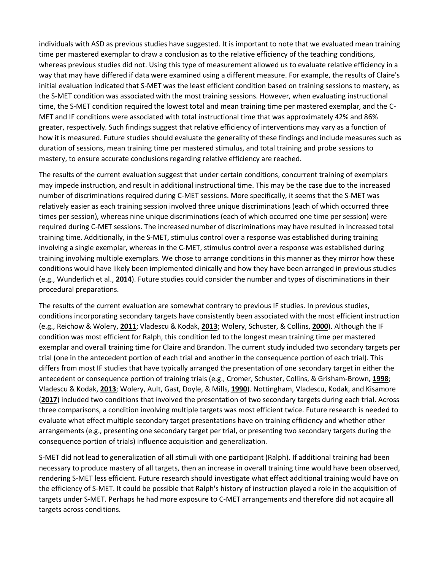individuals with ASD as previous studies have suggested. It is important to note that we evaluated mean training time per mastered exemplar to draw a conclusion as to the relative efficiency of the teaching conditions, whereas previous studies did not. Using this type of measurement allowed us to evaluate relative efficiency in a way that may have differed if data were examined using a different measure. For example, the results of Claire's initial evaluation indicated that S-MET was the least efficient condition based on training sessions to mastery, as the S-MET condition was associated with the most training sessions. However, when evaluating instructional time, the S-MET condition required the lowest total and mean training time per mastered exemplar, and the C-MET and IF conditions were associated with total instructional time that was approximately 42% and 86% greater, respectively. Such findings suggest that relative efficiency of interventions may vary as a function of how it is measured. Future studies should evaluate the generality of these findings and include measures such as duration of sessions, mean training time per mastered stimulus, and total training and probe sessions to mastery, to ensure accurate conclusions regarding relative efficiency are reached.

The results of the current evaluation suggest that under certain conditions, concurrent training of exemplars may impede instruction, and result in additional instructional time. This may be the case due to the increased number of discriminations required during C-MET sessions. More specifically, it seems that the S-MET was relatively easier as each training session involved three unique discriminations (each of which occurred three times per session), whereas nine unique discriminations (each of which occurred one time per session) were required during C-MET sessions. The increased number of discriminations may have resulted in increased total training time. Additionally, in the S-MET, stimulus control over a response was established during training involving a single exemplar, whereas in the C-MET, stimulus control over a response was established during training involving multiple exemplars. We chose to arrange conditions in this manner as they mirror how these conditions would have likely been implemented clinically and how they have been arranged in previous studies (e.g., Wunderlich et al., **[2014](https://0-onlinelibrary-wiley-com.libus.csd.mu.edu/doi/10.1002/jaba.480#jaba480-bib-0033)**). Future studies could consider the number and types of discriminations in their procedural preparations.

The results of the current evaluation are somewhat contrary to previous IF studies. In previous studies, conditions incorporating secondary targets have consistently been associated with the most efficient instruction (e.g., Reichow & Wolery, **[2011](https://0-onlinelibrary-wiley-com.libus.csd.mu.edu/doi/10.1002/jaba.480#jaba480-bib-0020)**; Vladescu & Kodak, **[2013](https://0-onlinelibrary-wiley-com.libus.csd.mu.edu/doi/10.1002/jaba.480#jaba480-bib-0029)**; Wolery, Schuster, & Collins, **[2000](https://0-onlinelibrary-wiley-com.libus.csd.mu.edu/doi/10.1002/jaba.480#jaba480-bib-0032)**). Although the IF condition was most efficient for Ralph, this condition led to the longest mean training time per mastered exemplar and overall training time for Claire and Brandon. The current study included two secondary targets per trial (one in the antecedent portion of each trial and another in the consequence portion of each trial). This differs from most IF studies that have typically arranged the presentation of one secondary target in either the antecedent or consequence portion of training trials (e.g., Cromer, Schuster, Collins, & Grisham-Brown, **[1998](https://0-onlinelibrary-wiley-com.libus.csd.mu.edu/doi/10.1002/jaba.480#jaba480-bib-0007)**; Vladescu & Kodak, **[2013](https://0-onlinelibrary-wiley-com.libus.csd.mu.edu/doi/10.1002/jaba.480#jaba480-bib-0029)**; Wolery, Ault, Gast, Doyle, & Mills, **[1990](https://0-onlinelibrary-wiley-com.libus.csd.mu.edu/doi/10.1002/jaba.480#jaba480-bib-0030)**). Nottingham, Vladescu, Kodak, and Kisamore (**[2017](https://0-onlinelibrary-wiley-com.libus.csd.mu.edu/doi/10.1002/jaba.480#jaba480-bib-0017)**) included two conditions that involved the presentation of two secondary targets during each trial. Across three comparisons, a condition involving multiple targets was most efficient twice. Future research is needed to evaluate what effect multiple secondary target presentations have on training efficiency and whether other arrangements (e.g., presenting one secondary target per trial, or presenting two secondary targets during the consequence portion of trials) influence acquisition and generalization.

S-MET did not lead to generalization of all stimuli with one participant (Ralph). If additional training had been necessary to produce mastery of all targets, then an increase in overall training time would have been observed, rendering S-MET less efficient. Future research should investigate what effect additional training would have on the efficiency of S-MET. It could be possible that Ralph's history of instruction played a role in the acquisition of targets under S-MET. Perhaps he had more exposure to C-MET arrangements and therefore did not acquire all targets across conditions.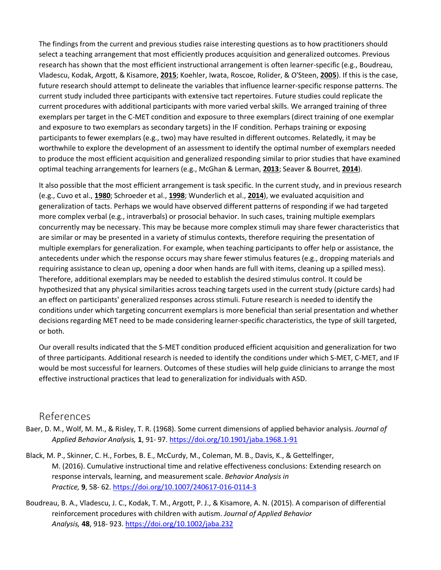The findings from the current and previous studies raise interesting questions as to how practitioners should select a teaching arrangement that most efficiently produces acquisition and generalized outcomes. Previous research has shown that the most efficient instructional arrangement is often learner-specific (e.g., Boudreau, Vladescu, Kodak, Argott, & Kisamore, **[2015](https://0-onlinelibrary-wiley-com.libus.csd.mu.edu/doi/10.1002/jaba.480#jaba480-bib-0003)**; Koehler, Iwata, Roscoe, Rolider, & O'Steen, **[2005](https://0-onlinelibrary-wiley-com.libus.csd.mu.edu/doi/10.1002/jaba.480#jaba480-bib-0013)**). If this is the case, future research should attempt to delineate the variables that influence learner-specific response patterns. The current study included three participants with extensive tact repertoires. Future studies could replicate the current procedures with additional participants with more varied verbal skills. We arranged training of three exemplars per target in the C-MET condition and exposure to three exemplars (direct training of one exemplar and exposure to two exemplars as secondary targets) in the IF condition. Perhaps training or exposing participants to fewer exemplars (e.g., two) may have resulted in different outcomes. Relatedly, it may be worthwhile to explore the development of an assessment to identify the optimal number of exemplars needed to produce the most efficient acquisition and generalized responding similar to prior studies that have examined optimal teaching arrangements for learners (e.g., McGhan & Lerman, **[2013](https://0-onlinelibrary-wiley-com.libus.csd.mu.edu/doi/10.1002/jaba.480#jaba480-bib-0014)**; Seaver & Bourret, **[2014](https://0-onlinelibrary-wiley-com.libus.csd.mu.edu/doi/10.1002/jaba.480#jaba480-bib-0024)**).

It also possible that the most efficient arrangement is task specific. In the current study, and in previous research (e.g., Cuvo et al., **[1980](https://0-onlinelibrary-wiley-com.libus.csd.mu.edu/doi/10.1002/jaba.480#jaba480-bib-0008)**; Schroeder et al., **[1998](https://0-onlinelibrary-wiley-com.libus.csd.mu.edu/doi/10.1002/jaba.480#jaba480-bib-0022)**; Wunderlich et al., **[2014](https://0-onlinelibrary-wiley-com.libus.csd.mu.edu/doi/10.1002/jaba.480#jaba480-bib-0033)**), we evaluated acquisition and generalization of tacts. Perhaps we would have observed different patterns of responding if we had targeted more complex verbal (e.g., intraverbals) or prosocial behavior. In such cases, training multiple exemplars concurrently may be necessary. This may be because more complex stimuli may share fewer characteristics that are similar or may be presented in a variety of stimulus contexts, therefore requiring the presentation of multiple exemplars for generalization. For example, when teaching participants to offer help or assistance, the antecedents under which the response occurs may share fewer stimulus features (e.g., dropping materials and requiring assistance to clean up, opening a door when hands are full with items, cleaning up a spilled mess). Therefore, additional exemplars may be needed to establish the desired stimulus control. It could be hypothesized that any physical similarities across teaching targets used in the current study (picture cards) had an effect on participants' generalized responses across stimuli. Future research is needed to identify the conditions under which targeting concurrent exemplars is more beneficial than serial presentation and whether decisions regarding MET need to be made considering learner-specific characteristics, the type of skill targeted, or both.

Our overall results indicated that the S-MET condition produced efficient acquisition and generalization for two of three participants. Additional research is needed to identify the conditions under which S-MET, C-MET, and IF would be most successful for learners. Outcomes of these studies will help guide clinicians to arrange the most effective instructional practices that lead to generalization for individuals with ASD.

### References

- Baer, D. M., Wolf, M. M., & Risley, T. R. (1968). Some current dimensions of applied behavior analysis. *Journal of Applied Behavior Analysis,* **1**, 91- 97. <https://doi.org/10.1901/jaba.1968.1-91>
- Black, M. P., Skinner, C. H., Forbes, B. E., McCurdy, M., Coleman, M. B., Davis, K., & Gettelfinger, M. (2016). Cumulative instructional time and relative effectiveness conclusions: Extending research on response intervals, learning, and measurement scale. *Behavior Analysis in Practice,* **9**, 58- 62. <https://doi.org/10.1007/240617-016-0114-3>
- Boudreau, B. A., Vladescu, J. C., Kodak, T. M., Argott, P. J., & Kisamore, A. N. (2015). A comparison of differential reinforcement procedures with children with autism. *Journal of Applied Behavior Analysis,* **48**, 918- 923. <https://doi.org/10.1002/jaba.232>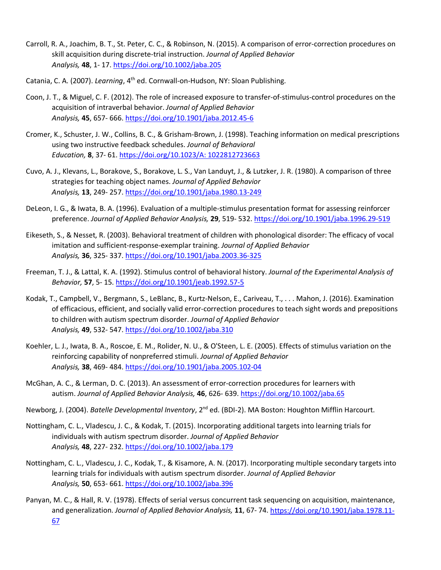- Carroll, R. A., Joachim, B. T., St. Peter, C. C., & Robinson, N. (2015). A comparison of error-correction procedures on skill acquisition during discrete-trial instruction. *Journal of Applied Behavior Analysis,* **48**, 1- 17. <https://doi.org/10.1002/jaba.205>
- Catania, C. A. (2007). *Learning*, 4<sup>th</sup> ed. Cornwall-on-Hudson, NY: Sloan Publishing.
- Coon, J. T., & Miguel, C. F. (2012). The role of increased exposure to transfer-of-stimulus-control procedures on the acquisition of intraverbal behavior. *Journal of Applied Behavior Analysis,* **45**, 657- 666. <https://doi.org/10.1901/jaba.2012.45-6>
- Cromer, K., Schuster, J. W., Collins, B. C., & Grisham-Brown, J. (1998). Teaching information on medical prescriptions using two instructive feedback schedules. *Journal of Behavioral Education,* **8**, 37- 61. [https://doi.org/10.1023/A: 1022812723663](https://doi.org/10.1023/A:%201022812723663)
- Cuvo, A. J., Klevans, L., Borakove, S., Borakove, L. S., Van Landuyt, J., & Lutzker, J. R. (1980). A comparison of three strategies for teaching object names. *Journal of Applied Behavior Analysis,* **13**, 249- 257. <https://doi.org/10.1901/jaba.1980.13-249>
- DeLeon, I. G., & Iwata, B. A. (1996). Evaluation of a multiple-stimulus presentation format for assessing reinforcer preference. *Journal of Applied Behavior Analysis,* **29**, 519- 532. <https://doi.org/10.1901/jaba.1996.29-519>
- Eikeseth, S., & Nesset, R. (2003). Behavioral treatment of children with phonological disorder: The efficacy of vocal imitation and sufficient-response-exemplar training. *Journal of Applied Behavior Analysis,* **36**, 325- 337. <https://doi.org/10.1901/jaba.2003.36-325>
- Freeman, T. J., & Lattal, K. A. (1992). Stimulus control of behavioral history. *Journal of the Experimental Analysis of Behavior,* **57**, 5- 15. <https://doi.org/10.1901/jeab.1992.57-5>
- Kodak, T., Campbell, V., Bergmann, S., LeBlanc, B., Kurtz-Nelson, E., Cariveau, T., . . . Mahon, J. (2016). Examination of efficacious, efficient, and socially valid error-correction procedures to teach sight words and prepositions to children with autism spectrum disorder. *Journal of Applied Behavior Analysis,* **49**, 532- 547. <https://doi.org/10.1002/jaba.310>
- Koehler, L. J., Iwata, B. A., Roscoe, E. M., Rolider, N. U., & O'Steen, L. E. (2005). Effects of stimulus variation on the reinforcing capability of nonpreferred stimuli. *Journal of Applied Behavior Analysis,* **38**, 469- 484. <https://doi.org/10.1901/jaba.2005.102-04>
- McGhan, A. C., & Lerman, D. C. (2013). An assessment of error-correction procedures for learners with autism. *Journal of Applied Behavior Analysis,* **46**, 626- 639. <https://doi.org/10.1002/jaba.65>
- Newborg, J. (2004). *Batelle Developmental Inventory*, 2<sup>nd</sup> ed. (BDI-2). MA Boston: Houghton Mifflin Harcourt.
- Nottingham, C. L., Vladescu, J. C., & Kodak, T. (2015). Incorporating additional targets into learning trials for individuals with autism spectrum disorder. *Journal of Applied Behavior Analysis,* **48**, 227- 232. <https://doi.org/10.1002/jaba.179>
- Nottingham, C. L., Vladescu, J. C., Kodak, T., & Kisamore, A. N. (2017). Incorporating multiple secondary targets into learning trials for individuals with autism spectrum disorder. *Journal of Applied Behavior Analysis,* **50**, 653- 661. <https://doi.org/10.1002/jaba.396>
- Panyan, M. C., & Hall, R. V. (1978). Effects of serial versus concurrent task sequencing on acquisition, maintenance, and generalization. *Journal of Applied Behavior Analysis,* **11**, 67- 74. [https://doi.org/10.1901/jaba.1978.11-](https://doi.org/10.1901/jaba.1978.11-67) [67](https://doi.org/10.1901/jaba.1978.11-67)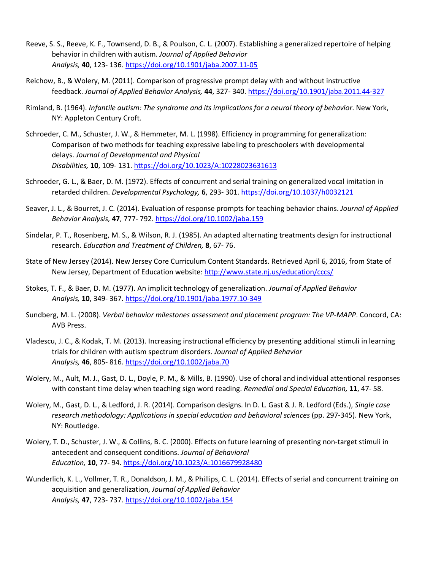- Reeve, S. S., Reeve, K. F., Townsend, D. B., & Poulson, C. L. (2007). Establishing a generalized repertoire of helping behavior in children with autism. *Journal of Applied Behavior Analysis,* **40**, 123- 136. <https://doi.org/10.1901/jaba.2007.11-05>
- Reichow, B., & Wolery, M. (2011). Comparison of progressive prompt delay with and without instructive feedback. *Journal of Applied Behavior Analysis,* **44**, 327- 340. <https://doi.org/10.1901/jaba.2011.44-327>
- Rimland, B. (1964). *Infantile autism: The syndrome and its implications for a neural theory of behavior*. New York, NY: Appleton Century Croft.
- Schroeder, C. M., Schuster, J. W., & Hemmeter, M. L. (1998). Efficiency in programming for generalization: Comparison of two methods for teaching expressive labeling to preschoolers with developmental delays. *Journal of Developmental and Physical Disabilities,* **10**, 109- 131. <https://doi.org/10.1023/A:10228023631613>
- Schroeder, G. L., & Baer, D. M. (1972). Effects of concurrent and serial training on generalized vocal imitation in retarded children. *Developmental Psychology,* **6**, 293- 301. <https://doi.org/10.1037/h0032121>
- Seaver, J. L., & Bourret, J. C. (2014). Evaluation of response prompts for teaching behavior chains. *Journal of Applied Behavior Analysis,* **47**, 777- 792. <https://doi.org/10.1002/jaba.159>
- Sindelar, P. T., Rosenberg, M. S., & Wilson, R. J. (1985). An adapted alternating treatments design for instructional research. *Education and Treatment of Children,* **8**, 67- 76.
- State of New Jersey (2014). New Jersey Core Curriculum Content Standards. Retrieved April 6, 2016, from State of New Jersey, Department of Education website: <http://www.state.nj.us/education/cccs/>
- Stokes, T. F., & Baer, D. M. (1977). An implicit technology of generalization. *Journal of Applied Behavior Analysis,* **10**, 349- 367. <https://doi.org/10.1901/jaba.1977.10-349>
- Sundberg, M. L. (2008). *Verbal behavior milestones assessment and placement program: The VP‐MAPP*. Concord, CA: AVB Press.
- Vladescu, J. C., & Kodak, T. M. (2013). Increasing instructional efficiency by presenting additional stimuli in learning trials for children with autism spectrum disorders. *Journal of Applied Behavior Analysis,* **46**, 805- 816. <https://doi.org/10.1002/jaba.70>
- Wolery, M., Ault, M. J., Gast, D. L., Doyle, P. M., & Mills, B. (1990). Use of choral and individual attentional responses with constant time delay when teaching sign word reading. *Remedial and Special Education,* **11**, 47- 58.
- Wolery, M., Gast, D. L., & Ledford, J. R. (2014). Comparison designs. In D. L. Gast & J. R. Ledford (Eds.), *Single case research methodology: Applications in special education and behavioral sciences* (pp. 297-345). New York, NY: Routledge.
- Wolery, T. D., Schuster, J. W., & Collins, B. C. (2000). Effects on future learning of presenting non-target stimuli in antecedent and consequent conditions. *Journal of Behavioral Education,* **10**, 77- 94. <https://doi.org/10.1023/A:1016679928480>
- Wunderlich, K. L., Vollmer, T. R., Donaldson, J. M., & Phillips, C. L. (2014). Effects of serial and concurrent training on acquisition and generalization, *Journal of Applied Behavior Analysis,* **47**, 723- 737. <https://doi.org/10.1002/jaba.154>